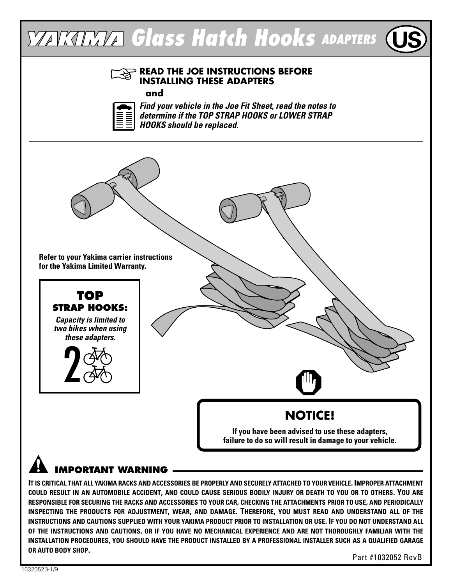

## **IMPORTANT WARNING**

IT IS CRITICAL THAT ALL YAKIMA RACKS AND ACCESSORIES BE PROPERLY AND SECURELY ATTACHED TO YOUR VEHICLE. IMPROPER ATTACHMENT COULD RESULT IN AN AUTOMOBILE ACCIDENT, AND COULD CAUSE SERIOUS BODILY INJURY OR DEATH TO YOU OR TO OTHERS. YOU ARE RESPONSIBLE FOR SECURING THE RACKS AND ACCESSORIES TO YOUR CAR, CHECKING THE ATTACHMENTS PRIOR TO USE, AND PERIODICALLY **INSPECTING THE PRODUCTS FOR ADJUSTMENT, WEAR, AND DAMAGE. THEREFORE, YOU MUST READ AND UNDERSTAND ALL OF THE** INSTRUCTIONS AND CAUTIONS SUPPLIED WITH YOUR YAKIMA PRODUCT PRIOR TO INSTALLATION OR USE. IF YOU DO NOT UNDERSTAND ALL OF THE INSTRUCTIONS AND CAUTIONS, OR IF YOU HAVE NO MECHANICAL EXPERIENCE AND ARE NOT THOROUGHLY FAMILIAR WITH THE INSTALLATION PROCEDURES, YOU SHOULD HAVE THE PRODUCT INSTALLED BY A PROFESSIONAL INSTALLER SUCH AS A QUALIFIED GARAGE **OR AUTO BODY SHOP.**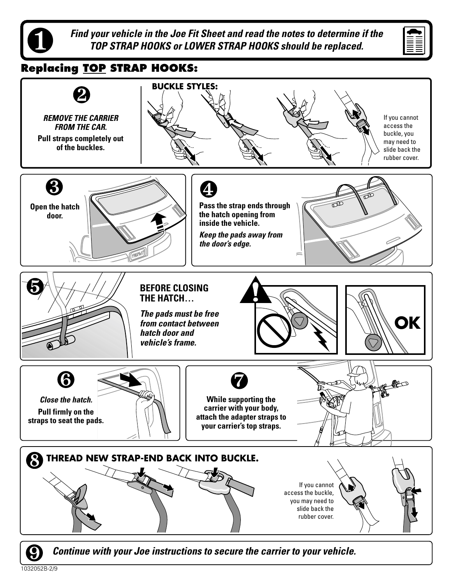

**Find your vehicle in the Joe Fit Sheet and read the notes to determine if the TOP STRAP HOOKS or LOWER STRAP HOOKS should be replaced.**



### **Replacing TOP STRAP HOOKS:**



**Continue with your Joe instructions to secure the carrier to your vehicle.**

1032052B-2/9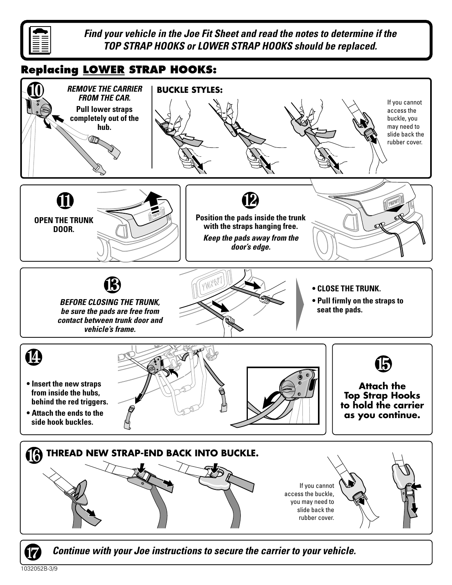

**Find your vehicle in the Joe Fit Sheet and read the notes to determine if the TOP STRAP HOOKS or LOWER STRAP HOOKS should be replaced.**

#### **Replacing LOWER STRAP HOOKS:**



1032052B-3/9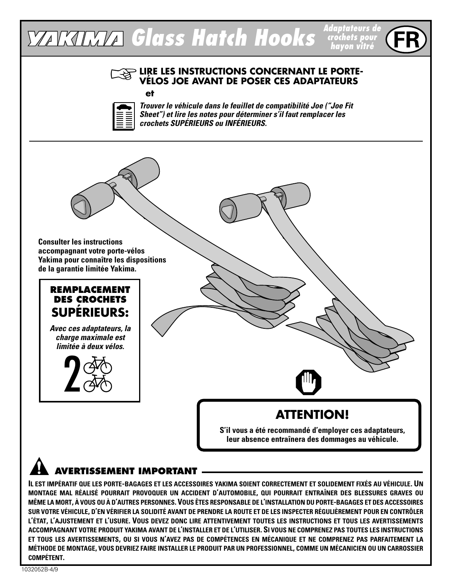#### **Glass Hatch Hooks Adaptateurs de crochets pour hayon vitré**

#### **LIRE LES INSTRUCTIONS CONCERNANT LE PORTE-VÉLOS JOE AVANT DE POSER CES ADAPTATEURS**

#### **et**



**Trouver le véhicule dans le feuillet de compatibilité Joe ("Joe Fit Sheet") et lire les notes pour déterminer s'il faut remplacer les crochets SUPÉRIEURS ou INFÉRIEURS.**



#### **REMPLACEMENT DES CROCHETS SUPÉRIEURS:**

**Avec ces adaptateurs, la charge maximale est limitée à deux vélos.**



# **ATTENTION!**

**S'il vous a été recommandé d'employer ces adaptateurs, leur absence entraînera des dommages au véhicule.**

### **AVERTISSEMENT IMPORTANT**

IL EST IMPÉRATIF QUE LES PORTE-BAGAGES ET LES ACCESSOIRES YAKIMA SOIENT CORRECTEMENT ET SOLIDEMENT FIXÉS AU VÉHICULE. UN **MONTAGE MAL RÉALISÉ POURRAIT PROVOQUER UN ACCIDENT D'AUTOMOBILE, QUI POURRAIT ENTRAÎNER DES BLESSURES GRAVES OU** MÊME LA MORT, À VOUS OU À D'AUTRES PERSONNES. VOUS ÊTES RESPONSABLE DE L'INSTALLATION DU PORTE-BAGAGES ET DES ACCESSOIRES SUR VOTRE VÉHICULE, D'EN VÉRIFIER LA SOLIDITÉ AVANT DE PRENDRE LA ROUTE ET DE LES INSPECTER RÉGULIÈREMENT POUR EN CONTRÔLER **L'ÉTAT, L'AJUSTEMENT ET L'USURE. VOUS DEVEZ DONC LIRE ATTENTIVEMENT TOUTES LES INSTRUCTIONS ET TOUS LES AVERTISSEMENTS** ACCOMPAGNANT VOTRE PRODUIT YAKIMA AVANT DE L'INSTALLER ET DE L'UTILISER. SI VOUS NE COMPRENEZ PAS TOUTES LES INSTRUCTIONS ET TOUS LES AVERTISSEMENTS, OU SI VOUS N'AVEZ PAS DE COMPÉTENCES EN MÉCANIQUE ET NE COMPRENEZ PAS PARFAITEMENT LA MÉTHODE DE MONTAGE, VOUS DEVRIEZ FAIRE INSTALLER LE PRODUIT PAR UN PROFESSIONNEL, COMME UN MÉCANICIEN OU UN CARROSSIER **COMPÉTENT.**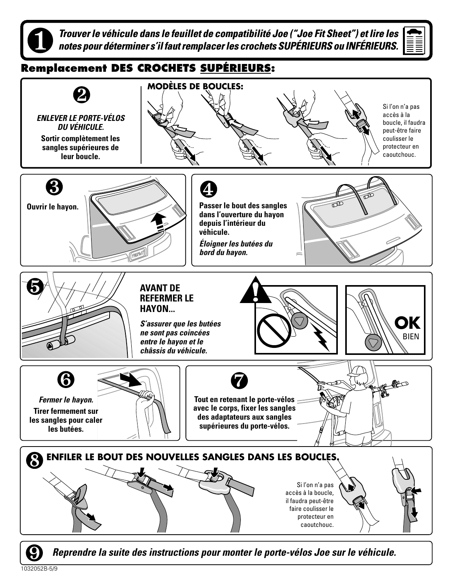**Trouver le véhicule dans le feuillet de compatibilité Joe ("Joe Fit Sheet") et lire les notes pour déterminer s'il faut remplacer les crochets SUPÉRIEURS ou INFÉRIEURS.**



#### **Remplacement DES CROCHETS SUPÉRIEURS:**



**Reprendre la suite des instructions pour monter le porte-vélos Joe sur le véhicule.**

1032052B-5/9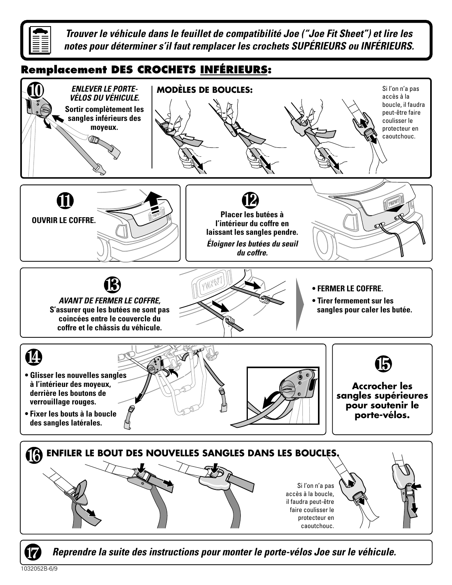

**Trouver le véhicule dans le feuillet de compatibilité Joe ("Joe Fit Sheet") et lire les notes pour déterminer s'il faut remplacer les crochets SUPÉRIEURS ou INFÉRIEURS.**

## **Remplacement DES CROCHETS INFÉRIEURS:**



**Reprendre la suite des instructions pour monter le porte-vélos Joe sur le véhicule.**

1032052B-6/9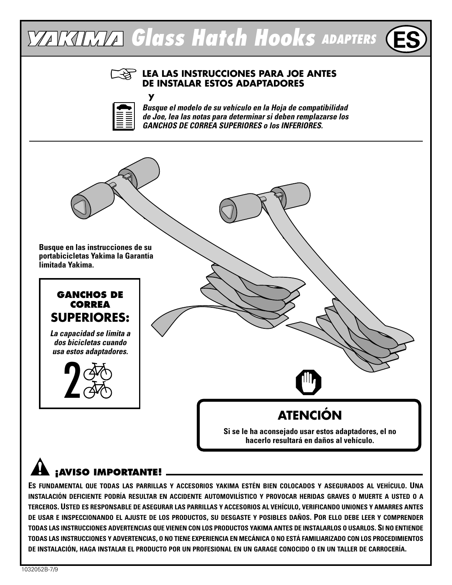# **YAKIMA Glass Hatch Hooks ADAPTERS**

# $\mathbb{R}^2$

 **y**

#### **LEA LAS INSTRUCCIONES PARA JOE ANTES DE INSTALAR ESTOS ADAPTADORES**



**Busque el modelo de su vehículo en la Hoja de compatibilidad de Joe, lea las notas para determinar si deben remplazarse los GANCHOS DE CORREA SUPERIORES o los INFERIORES.**



# **¡AVISO IMPORTANTE!**

**ES FUNDAMENTAL QUE TODAS LAS PARRILLAS Y ACCESORIOS YAKIMA ESTÉN BIEN COLOCADOS Y ASEGURADOS AL VEHÍCULO. UNA** INSTALACIÓN DEFICIENTE PODRÍA RESULTAR EN ACCIDENTE AUTOMOVILÍSTICO Y PROVOCAR HERIDAS GRAVES O MUERTE A USTED O A **TERCEROS. USTED ES RESPONSABLE DE ASEGURAR LAS PARRILLAS Y ACCESORIOS AL VEHÍCULO, VERIFICANDO UNIONES Y AMARRES ANTES** DE USAR E INSPECCIONANDO EL AJUSTE DE LOS PRODUCTOS, SU DESGASTE Y POSIBLES DAÑOS. POR ELLO DEBE LEER Y COMPRENDER TODAS LAS INSTRUCCIONES ADVERTENCIAS QUE VIENEN CON LOS PRODUCTOS YAKIMA ANTES DE INSTALARLOS O USARLOS. SI NO ENTIENDE TODAS LAS INSTRUCCIONES Y ADVERTENCIAS. O NO TIENE EXPERIENCIA EN MECÁNICA O NO ESTÁ FAMILIARIZADO CON LOS PROCEDIMIENTOS DE INSTALACIÓN, HAGA INSTALAR EL PRODUCTO POR UN PROFESIONAL EN UN GARAGE CONOCIDO O EN UN TALLER DE CARROCERÍA.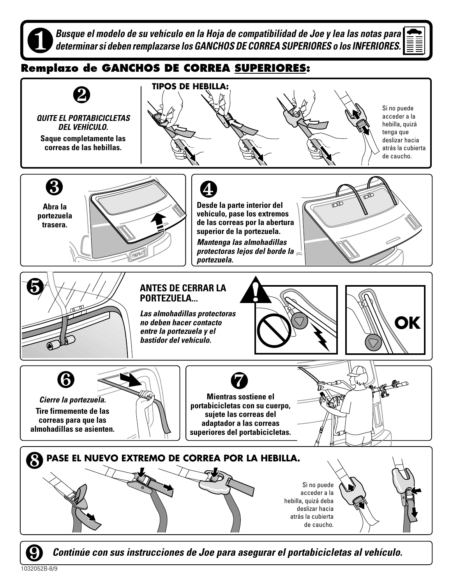**Busque el modelo de su vehículo en la Hoja de compatibilidad de Joe y lea las notas para determinar si deben remplazarse los GANCHOS DE CORREA SUPERIORES o los INFERIORES.**



## **Remplazo de GANCHOS DE CORREA SUPERIORES:**



**Continúe con sus instrucciones de Joe para asegurar el portabicicletas al vehículo.**

1032052B-8/9